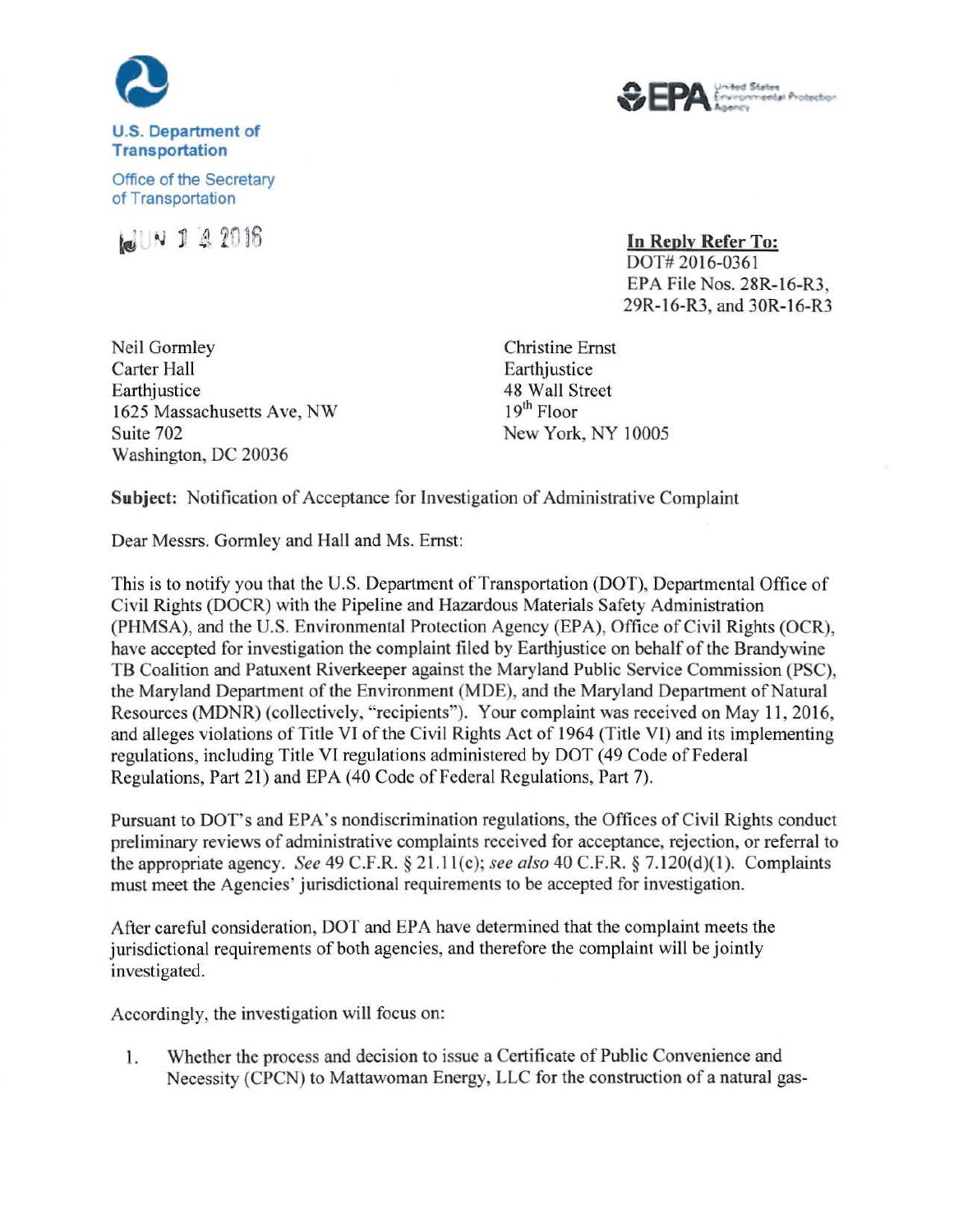

## **U.S. Department of Transportation**



Office of the Secretary of Transportation



**In Reply Refer To:**  DOT# 2016-0361 EPA File Nos. 28R-16-R3, 29R-16-R3, and 30R-16-R3

Neil Gormley Carter Hall Earthjustice 1625 Massachusetts Ave, NW Suite 702 Washington, DC 20036

Christine Ernst Earthjustice 48 Wall Street 19<sup>th</sup> Floor New York, NY 10005

**Subject:** Notification of Acceptance for Investigation of Administrative Complaint

Dear Messrs. Gormley and Hall and Ms. Ernst:

This is to notify you that the U.S. Department of Transportation (DOT), Departmental Office of Civil Rights (DOCR) with the Pipeline and Hazardous Materials Safety Administration (PHMSA), and the U.S. Environmental Protection Agency (EPA), Office of Civil Rights (OCR), have accepted for investigation the complaint filed by Earthjustice on behalf of the Brandywine TB Coalition and Patuxent Riverkeeper against the Maryland Public Service Commission (PSC), the Maryland Department of the Environment (MDE), and the Maryland Department of Natural Resources (MDNR) (collectively, "recipients"). Your complaint was received on May 11 , 2016, and alleges violations of Title VI of the Civil Rjghts Act of 1964 (Title VI) and its implementing regulations, including Title VI regulations administered by DOT ( 49 Code of Federal Regulations, Part 21) and EPA (40 Code of Federal Regulations, Part 7).

Pursuant to DOT's and EPA's nondiscrimination regulations, the Offices of Civil Rights conduct preliminary reviews of administrative complaints received for acceptance, rejection, or referral to the appropriate agency. *See* 49 C.F.R. § 2l.ll(c); *see also* 40 C.F.R. § 7. 120(d)(1). Complaints must meet the Agencies' jurisdictional requirements to be accepted for investigation.

After careful consideration, DOT and EPA have determined that the complaint meets the jurisdictional requirements of both agencies, and therefore the complaint will be jointly investigated.

Accordingly, the investigation will focus on:

1. Whether the process and decision to issue a Certificate of Public Convenience and Necessity (CPCN) to Mattawoman Energy, LLC for the construction of a natural gas-